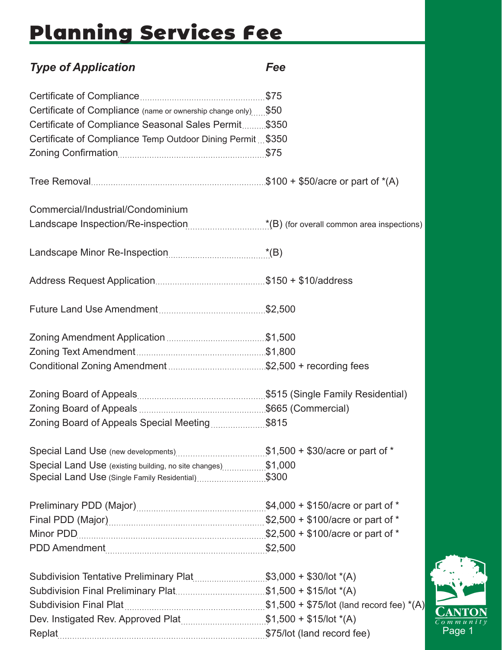## Planning Services Fee

| <b>Type of Application</b>                                                                                        | Fee |
|-------------------------------------------------------------------------------------------------------------------|-----|
|                                                                                                                   |     |
| Certificate of Compliance (name or ownership change only) \$50                                                    |     |
| Certificate of Compliance Seasonal Sales Permit \$350                                                             |     |
| Certificate of Compliance Temp Outdoor Dining Permit \$350                                                        |     |
|                                                                                                                   |     |
|                                                                                                                   |     |
| Commercial/Industrial/Condominium                                                                                 |     |
|                                                                                                                   |     |
|                                                                                                                   |     |
|                                                                                                                   |     |
|                                                                                                                   |     |
|                                                                                                                   |     |
|                                                                                                                   |     |
|                                                                                                                   |     |
|                                                                                                                   |     |
|                                                                                                                   |     |
| Zoning Board of Appeals Special Meeting\$815                                                                      |     |
| Special Land Use (new developments)\$1,500 + \$30/acre or part of *                                               |     |
| Special Land Use (existing building, no site changes)\$1,000<br>Special Land Use (Single Family Residential)\$300 |     |
|                                                                                                                   |     |
|                                                                                                                   |     |
|                                                                                                                   |     |
|                                                                                                                   |     |
| Subdivision Tentative Preliminary Plat\$3,000 + \$30/lot *(A)                                                     |     |
| Subdivision Final Preliminary Plat\$1,500 + \$15/lot *(A)                                                         |     |
|                                                                                                                   |     |
|                                                                                                                   |     |

Replat **\$75/lot** (land record fee)